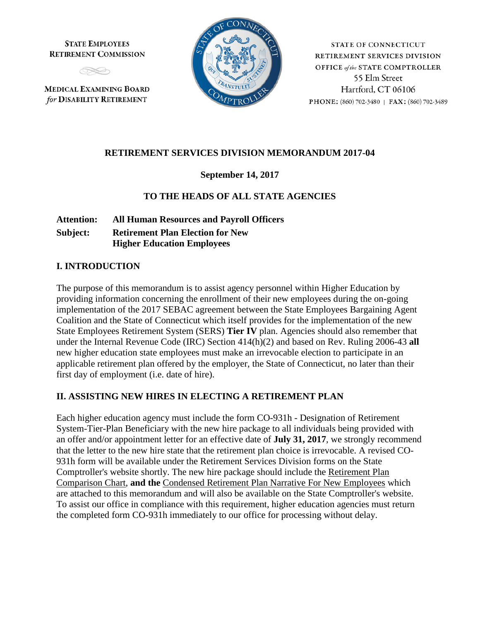**STATE EMPLOYEES RETIREMENT COMMISSION** 



**MEDICAL EXAMINING BOARD** for DISABILITY RETIREMENT



**STATE OF CONNECTICUT** RETIREMENT SERVICES DIVISION **OFFICE** of the STATE COMPTROLLER 55 Elm Street Hartford, CT 06106 PHONE: (860) 702-3480 | FAX: (860) 702-3489

## **RETIREMENT SERVICES DIVISION MEMORANDUM 2017-04**

#### **September 14, 2017**

## **TO THE HEADS OF ALL STATE AGENCIES**

**Attention: All Human Resources and Payroll Officers Subject: Retirement Plan Election for New Higher Education Employees**

#### **I. INTRODUCTION**

The purpose of this memorandum is to assist agency personnel within Higher Education by providing information concerning the enrollment of their new employees during the on-going implementation of the 2017 SEBAC agreement between the State Employees Bargaining Agent Coalition and the State of Connecticut which itself provides for the implementation of the new State Employees Retirement System (SERS) **Tier IV** plan. Agencies should also remember that under the Internal Revenue Code (IRC) Section 414(h)(2) and based on Rev. Ruling 2006-43 **all** new higher education state employees must make an irrevocable election to participate in an applicable retirement plan offered by the employer, the State of Connecticut, no later than their first day of employment (i.e. date of hire).

#### **II. ASSISTING NEW HIRES IN ELECTING A RETIREMENT PLAN**

Each higher education agency must include the form CO-931h - Designation of Retirement System-Tier-Plan Beneficiary with the new hire package to all individuals being provided with an offer and/or appointment letter for an effective date of **July 31, 2017**, we strongly recommend that the letter to the new hire state that the retirement plan choice is irrevocable. A revised CO-931h form will be available under the Retirement Services Division forms on the State Comptroller's website shortly. The new hire package should include the Retirement Plan Comparison Chart, **and the** Condensed Retirement Plan Narrative For New Employees which are attached to this memorandum and will also be available on the State Comptroller's website. To assist our office in compliance with this requirement, higher education agencies must return the completed form CO-931h immediately to our office for processing without delay.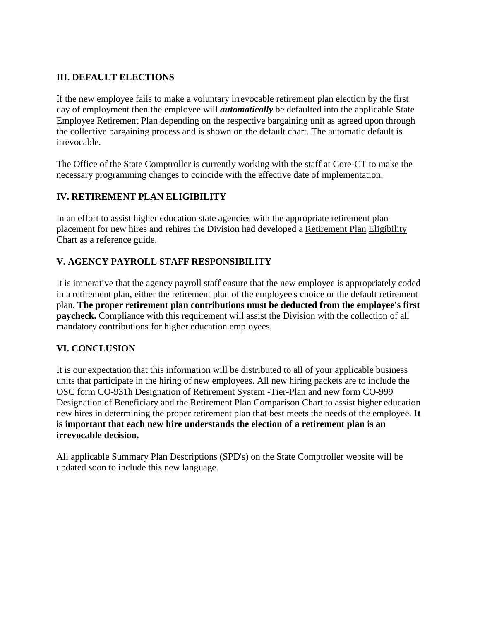# **III. DEFAULT ELECTIONS**

If the new employee fails to make a voluntary irrevocable retirement plan election by the first day of employment then the employee will *automatically* be defaulted into the applicable State Employee Retirement Plan depending on the respective bargaining unit as agreed upon through the collective bargaining process and is shown on the default chart. The automatic default is irrevocable.

The Office of the State Comptroller is currently working with the staff at Core-CT to make the necessary programming changes to coincide with the effective date of implementation.

## **IV. RETIREMENT PLAN ELIGIBILITY**

In an effort to assist higher education state agencies with the appropriate retirement plan placement for new hires and rehires the Division had developed a Retirement Plan Eligibility Chart as a reference guide.

## **V. AGENCY PAYROLL STAFF RESPONSIBILITY**

It is imperative that the agency payroll staff ensure that the new employee is appropriately coded in a retirement plan, either the retirement plan of the employee's choice or the default retirement plan. **The proper retirement plan contributions must be deducted from the employee's first paycheck.** Compliance with this requirement will assist the Division with the collection of all mandatory contributions for higher education employees.

#### **VI. CONCLUSION**

It is our expectation that this information will be distributed to all of your applicable business units that participate in the hiring of new employees. All new hiring packets are to include the OSC form CO-931h Designation of Retirement System -Tier-Plan and new form CO-999 Designation of Beneficiary and the Retirement Plan Comparison Chart to assist higher education new hires in determining the proper retirement plan that best meets the needs of the employee. **It is important that each new hire understands the election of a retirement plan is an irrevocable decision.** 

All applicable Summary Plan Descriptions (SPD's) on the State Comptroller website will be updated soon to include this new language.